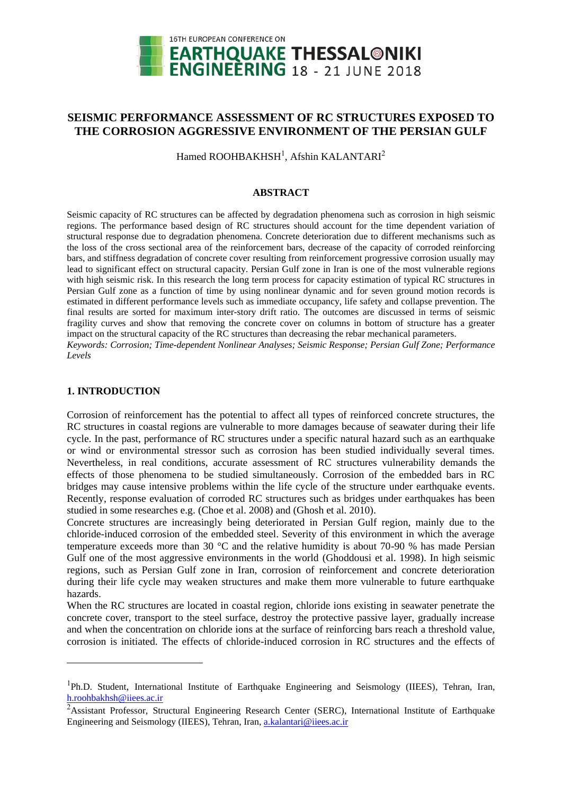

# **SEISMIC PERFORMANCE ASSESSMENT OF RC STRUCTURES EXPOSED TO THE CORROSION AGGRESSIVE ENVIRONMENT OF THE PERSIAN GULF**

Hamed ROOHBAKHSH<sup>1</sup>, Afshin KALANTARI<sup>2</sup>

# **ABSTRACT**

Seismic capacity of RC structures can be affected by degradation phenomena such as corrosion in high seismic regions. The performance based design of RC structures should account for the time dependent variation of structural response due to degradation phenomena. Concrete deterioration due to different mechanisms such as the loss of the cross sectional area of the reinforcement bars, decrease of the capacity of corroded reinforcing bars, and stiffness degradation of concrete cover resulting from reinforcement progressive corrosion usually may lead to significant effect on structural capacity. Persian Gulf zone in Iran is one of the most vulnerable regions with high seismic risk. In this research the long term process for capacity estimation of typical RC structures in Persian Gulf zone as a function of time by using nonlinear dynamic and for seven ground motion records is estimated in different performance levels such as immediate occupancy, life safety and collapse prevention. The final results are sorted for maximum inter-story drift ratio. The outcomes are discussed in terms of seismic fragility curves and show that removing the concrete cover on columns in bottom of structure has a greater impact on the structural capacity of the RC structures than decreasing the rebar mechanical parameters. *Keywords: Corrosion; Time-dependent Nonlinear Analyses; Seismic Response; Persian Gulf Zone; Performance Levels*

# **1. INTRODUCTION**

1

Corrosion of reinforcement has the potential to affect all types of reinforced concrete structures, the RC structures in coastal regions are vulnerable to more damages because of seawater during their life cycle. In the past, performance of RC structures under a specific natural hazard such as an earthquake or wind or environmental stressor such as corrosion has been studied individually several times. Nevertheless, in real conditions, accurate assessment of RC structures vulnerability demands the effects of those phenomena to be studied simultaneously. Corrosion of the embedded bars in RC bridges may cause intensive problems within the life cycle of the structure under earthquake events. Recently, response evaluation of corroded RC structures such as bridges under earthquakes has been studied in some researches e.g. (Choe et al. 2008) and (Ghosh et al. 2010).

Concrete structures are increasingly being deteriorated in Persian Gulf region, mainly due to the chloride-induced corrosion of the embedded steel. Severity of this environment in which the average temperature exceeds more than 30 °C and the relative humidity is about 70-90 % has made Persian Gulf one of the most aggressive environments in the world (Ghoddousi et al. 1998). In high seismic regions, such as Persian Gulf zone in Iran, corrosion of reinforcement and concrete deterioration during their life cycle may weaken structures and make them more vulnerable to future earthquake hazards.

When the RC structures are located in coastal region, chloride ions existing in seawater penetrate the concrete cover, transport to the steel surface, destroy the protective passive layer, gradually increase and when the concentration on chloride ions at the surface of reinforcing bars reach a threshold value, corrosion is initiated. The effects of chloride-induced corrosion in RC structures and the effects of

<sup>&</sup>lt;sup>1</sup>Ph.D. Student, International Institute of Earthquake Engineering and Seismology (IIEES), Tehran, Iran, h.roohbakhsh@iiees.ac.ir

<sup>&</sup>lt;sup>2</sup>Assistant Professor, Structural Engineering Research Center (SERC), International Institute of Earthquake Engineering and Seismology (IIEES), Tehran, Iran, [a.kalantari@i](mailto:a.kalantari@address2)iees.ac.ir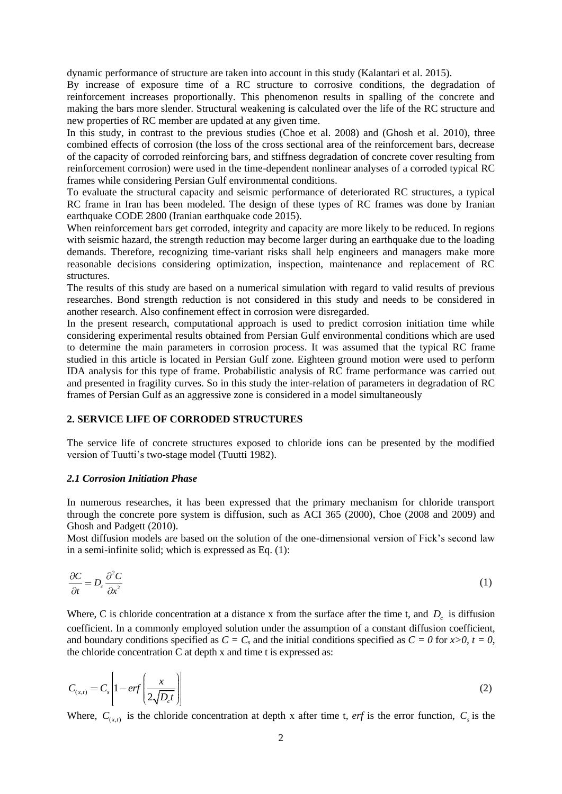dynamic performance of structure are taken into account in this study (Kalantari et al. 2015).

By increase of exposure time of a RC structure to corrosive conditions, the degradation of reinforcement increases proportionally. This phenomenon results in spalling of the concrete and making the bars more slender. Structural weakening is calculated over the life of the RC structure and new properties of RC member are updated at any given time.

In this study, in contrast to the previous studies (Choe et al. 2008) and (Ghosh et al. 2010), three combined effects of corrosion (the loss of the cross sectional area of the reinforcement bars, decrease of the capacity of corroded reinforcing bars, and stiffness degradation of concrete cover resulting from reinforcement corrosion) were used in the time-dependent nonlinear analyses of a corroded typical RC frames while considering Persian Gulf environmental conditions.

To evaluate the structural capacity and seismic performance of deteriorated RC structures, a typical RC frame in Iran has been modeled. The design of these types of RC frames was done by Iranian earthquake CODE 2800 (Iranian earthquake code 2015).

When reinforcement bars get corroded, integrity and capacity are more likely to be reduced. In regions with seismic hazard, the strength reduction may become larger during an earthquake due to the loading demands. Therefore, recognizing time-variant risks shall help engineers and managers make more reasonable decisions considering optimization, inspection, maintenance and replacement of RC structures.

The results of this study are based on a numerical simulation with regard to valid results of previous researches. Bond strength reduction is not considered in this study and needs to be considered in another research. Also confinement effect in corrosion were disregarded.

In the present research, computational approach is used to predict corrosion initiation time while considering experimental results obtained from Persian Gulf environmental conditions which are used to determine the main parameters in corrosion process. It was assumed that the typical RC frame studied in this article is located in Persian Gulf zone. Eighteen ground motion were used to perform IDA analysis for this type of frame. Probabilistic analysis of RC frame performance was carried out and presented in fragility curves. So in this study the inter-relation of parameters in degradation of RC frames of Persian Gulf as an aggressive zone is considered in a model simultaneously

## **2. SERVICE LIFE OF CORRODED STRUCTURES**

The service life of concrete structures exposed to chloride ions can be presented by the modified version of Tuutti's two-stage model (Tuutti 1982).

#### *2.1 Corrosion Initiation Phase*

In numerous researches, it has been expressed that the primary mechanism for chloride transport through the concrete pore system is diffusion, such as ACI 365 (2000), Choe (2008 and 2009) and Ghosh and Padgett (2010).

Most diffusion models are based on the solution of the one-dimensional version of Fick's second law in a semi-infinite solid; which is expressed as Eq. (1):

$$
\frac{\partial C}{\partial t} = D_c \frac{\partial^2 C}{\partial x^2} \tag{1}
$$

Where, C is chloride concentration at a distance x from the surface after the time t, and  $D_c$  is diffusion coefficient. In a commonly employed solution under the assumption of a constant diffusion coefficient, and boundary conditions specified as  $C = C_s$  and the initial conditions specified as  $C = 0$  for  $x > 0$ ,  $t = 0$ , the chloride concentration  $C$  at depth  $x$  and time t is expressed as:

$$
C_{(x,t)} = C_s \left[ 1 - erf \left( \frac{x}{2\sqrt{D_c t}} \right) \right]
$$
 (2)

Where,  $C_{(x,t)}$  is the chloride concentration at depth x after time t, *erf* is the error function,  $C_s$  is the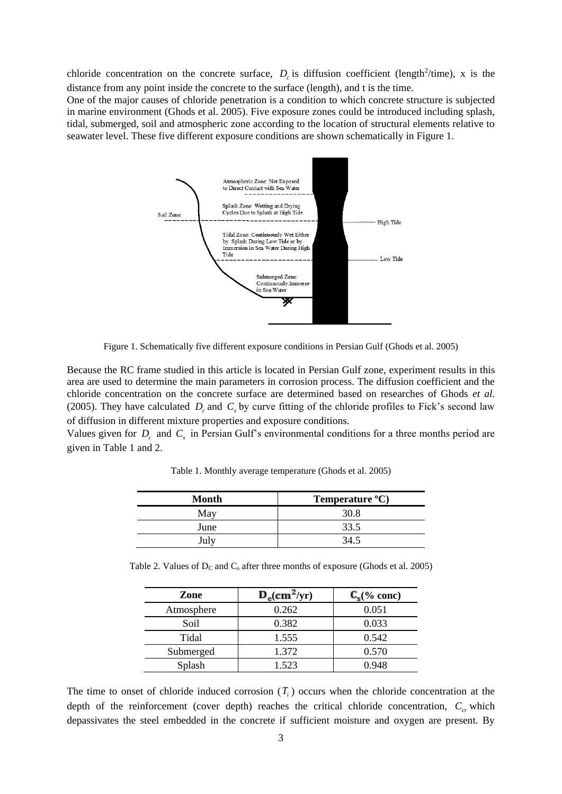chloride concentration on the concrete surface,  $D_c$  is diffusion coefficient (length<sup>2</sup>/time), x is the distance from any point inside the concrete to the surface (length), and t is the time.

One of the major causes of chloride penetration is a condition to which concrete structure is subjected in marine environment (Ghods et al. 2005). Five exposure zones could be introduced including splash, tidal, submerged, soil and atmospheric zone according to the location of structural elements relative to seawater level. These five different exposure conditions are shown schematically in Figure 1.



Figure 1. Schematically five different exposure conditions in Persian Gulf (Ghods et al. 2005)

Because the RC frame studied in this article is located in Persian Gulf zone, experiment results in this area are used to determine the main parameters in corrosion process. The diffusion coefficient and the chloride concentration on the concrete surface are determined based on researches of Ghods *et al.* (2005). They have calculated  $D_c$  and  $C_s$  by curve fitting of the chloride profiles to Fick's second law of diffusion in different mixture properties and exposure conditions.

Values given for  $D_c$  and  $C_s$  in Persian Gulf's environmental conditions for a three months period are given in Table 1 and 2.

| <b>Month</b> | Temperature °C) |  |  |
|--------------|-----------------|--|--|
| May          | 30.8            |  |  |
| June         | 33.5            |  |  |
| July         | 34.             |  |  |

Table 1. Monthly average temperature (Ghods et al. 2005)

Table 2. Values of  $D_C$  and  $C_s$  after three months of exposure (Ghods et al. 2005)

| Zone       | $D_c$ <sub>c</sub> (cm <sup>2</sup> /yr) | $C_{\epsilon}$ (% conc) |
|------------|------------------------------------------|-------------------------|
| Atmosphere | 0.262                                    | 0.051                   |
| Soil       | 0.382                                    | 0.033                   |
| Tidal      | 1.555                                    | 0.542                   |
| Submerged  | 1.372                                    | 0.570                   |
| Splash     | 1.523                                    | 0.948                   |

The time to onset of chloride induced corrosion  $(T<sub>i</sub>)$  occurs when the chloride concentration at the depth of the reinforcement (cover depth) reaches the critical chloride concentration,  $C_{cr}$  which depassivates the steel embedded in the concrete if sufficient moisture and oxygen are present. By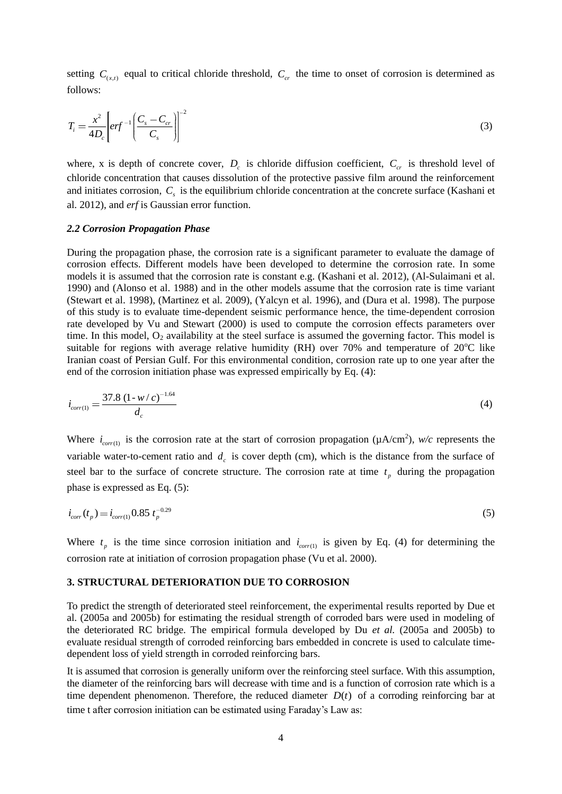setting  $C_{(x,t)}$  equal to critical chloride threshold,  $C_{cr}$  the time to onset of corrosion is determined as follows:

$$
T_i = \frac{x^2}{4D_c} \left[ erf^{-1} \left( \frac{C_s - C_{cr}}{C_s} \right) \right]^{-2}
$$
 (3)

where, x is depth of concrete cover,  $D_c$  is chloride diffusion coefficient,  $C_{cr}$  is threshold level of chloride concentration that causes dissolution of the protective passive film around the reinforcement and initiates corrosion,  $C_s$  is the equilibrium chloride concentration at the concrete surface (Kashani et al. 2012), and *erf* is Gaussian error function.

#### *2.2 Corrosion Propagation Phase*

During the propagation phase, the corrosion rate is a significant parameter to evaluate the damage of corrosion effects. Different models have been developed to determine the corrosion rate. In some models it is assumed that the corrosion rate is constant e.g. (Kashani et al. 2012), (Al-Sulaimani et al. 1990) and (Alonso et al. 1988) and in the other models assume that the corrosion rate is time variant (Stewart et al. 1998), (Martinez et al. 2009), (Yalcyn et al. 1996), and (Dura et al. 1998). The purpose of this study is to evaluate time-dependent seismic performance hence, the time-dependent corrosion rate developed by Vu and Stewart (2000) is used to compute the corrosion effects parameters over time. In this model,  $O<sub>2</sub>$  availability at the steel surface is assumed the governing factor. This model is suitable for regions with average relative humidity (RH) over 70% and temperature of  $20^{\circ}$ C like Iranian coast of Persian Gulf. For this environmental condition, corrosion rate up to one year after the end of the corrosion initiation phase was expressed empirically by Eq. (4):

$$
i_{corr(1)} = \frac{37.8 \left(1 - w/c\right)^{-1.64}}{d_c} \tag{4}
$$

Where  $i_{corr(1)}$  is the corrosion rate at the start of corrosion propagation ( $\mu A/cm^2$ ),  $w/c$  represents the variable water-to-cement ratio and  $d_c$  is cover depth (cm), which is the distance from the surface of steel bar to the surface of concrete structure. The corrosion rate at time  $t_p$  during the propagation phase is expressed as Eq. (5):

$$
i_{corr}(t_p) = i_{corr(1)} 0.85 \ t_p^{-0.29} \tag{5}
$$

Where  $t_p$  is the time since corrosion initiation and  $i_{corr(1)}$  is given by Eq. (4) for determining the corrosion rate at initiation of corrosion propagation phase (Vu et al. 2000).

#### **3. STRUCTURAL DETERIORATION DUE TO CORROSION**

To predict the strength of deteriorated steel reinforcement, the experimental results reported by Due et al. (2005a and 2005b) for estimating the residual strength of corroded bars were used in modeling of the deteriorated RC bridge. The empirical formula developed by Du *et al.* (2005a and 2005b) to evaluate residual strength of corroded reinforcing bars embedded in concrete is used to calculate timedependent loss of yield strength in corroded reinforcing bars.

It is assumed that corrosion is generally uniform over the reinforcing steel surface. With this assumption, the diameter of the reinforcing bars will decrease with time and is a function of corrosion rate which is a time dependent phenomenon. Therefore, the reduced diameter  $D(t)$  of a corroding reinforcing bar at time t after corrosion initiation can be estimated using Faraday's Law as: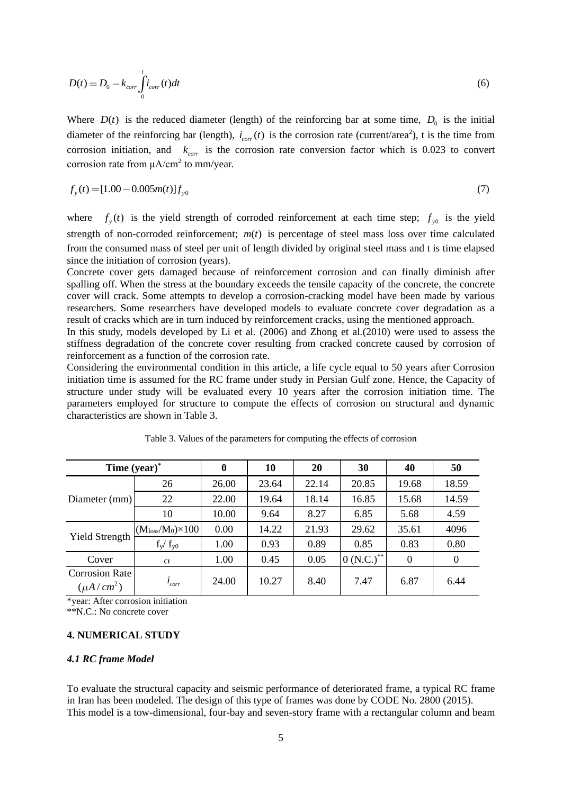$$
D(t) = D_0 - k_{corr} \int_0^t i_{corr}(t)dt
$$
\n
$$
(6)
$$

Where  $D(t)$  is the reduced diameter (length) of the reinforcing bar at some time,  $D_0$  is the initial diameter of the reinforcing bar (length),  $i_{corr}(t)$  is the corrosion rate (current/area<sup>2</sup>), t is the time from corrosion initiation, and  $k_{corr}$  is the corrosion rate conversion factor which is 0.023 to convert corrosion rate from  $\mu A/cm^2$  to mm/year.

$$
f_{y}(t) = [1.00 - 0.005m(t)]f_{y0}
$$
\n(7)

where  $f_y(t)$  is the yield strength of corroded reinforcement at each time step;  $f_{y0}$  is the yield strength of non-corroded reinforcement;  $m(t)$  is percentage of steel mass loss over time calculated from the consumed mass of steel per unit of length divided by original steel mass and t is time elapsed since the initiation of corrosion (years).

Concrete cover gets damaged because of reinforcement corrosion and can finally diminish after spalling off. When the stress at the boundary exceeds the tensile capacity of the concrete, the concrete cover will crack. Some attempts to develop a corrosion-cracking model have been made by various researchers. Some researchers have developed models to evaluate concrete cover degradation as a result of cracks which are in turn induced by reinforcement cracks, using the mentioned approach.

In this study, models developed by Li et al*.* (2006) and Zhong et al*.*(2010) were used to assess the stiffness degradation of the concrete cover resulting from cracked concrete caused by corrosion of reinforcement as a function of the corrosion rate.

Considering the environmental condition in this article, a life cycle equal to 50 years after Corrosion initiation time is assumed for the RC frame under study in Persian Gulf zone. Hence, the Capacity of structure under study will be evaluated every 10 years after the corrosion initiation time. The parameters employed for structure to compute the effects of corrosion on structural and dynamic characteristics are shown in Table 3.

| Time (year)*                            |                                          | $\boldsymbol{0}$ | 10    | 20    | 30             | 40       | 50       |
|-----------------------------------------|------------------------------------------|------------------|-------|-------|----------------|----------|----------|
| Diameter (mm)                           | 26                                       | 26.00            | 23.64 | 22.14 | 20.85          | 19.68    | 18.59    |
|                                         | 22                                       | 22.00            | 19.64 | 18.14 | 16.85          | 15.68    | 14.59    |
|                                         | 10                                       | 10.00            | 9.64  | 8.27  | 6.85           | 5.68     | 4.59     |
| <b>Yield Strength</b>                   | (M <sub>loss</sub> /M <sub>0</sub> )×100 | 0.00             | 14.22 | 21.93 | 29.62          | 35.61    | 4096     |
|                                         | $f_y/f_{y0}$                             | 1.00             | 0.93  | 0.89  | 0.85           | 0.83     | 0.80     |
| Cover                                   | $\alpha$                                 | 1.00             | 0.45  | 0.05  | $0(N.C.)^{**}$ | $\theta$ | $\Omega$ |
| <b>Corrosion Rate</b><br>$(\mu A/cm^2)$ | $i_{corr}$                               | 24.00            | 10.27 | 8.40  | 7.47           | 6.87     | 6.44     |

\*year: After corrosion initiation

\*\*N.C.: No concrete cover

#### **4. NUMERICAL STUDY**

#### *4.1 RC frame Model*

To evaluate the structural capacity and seismic performance of deteriorated frame, a typical RC frame in Iran has been modeled. The design of this type of frames was done by CODE No. 2800 (2015). This model is a tow-dimensional, four-bay and seven-story frame with a rectangular column and beam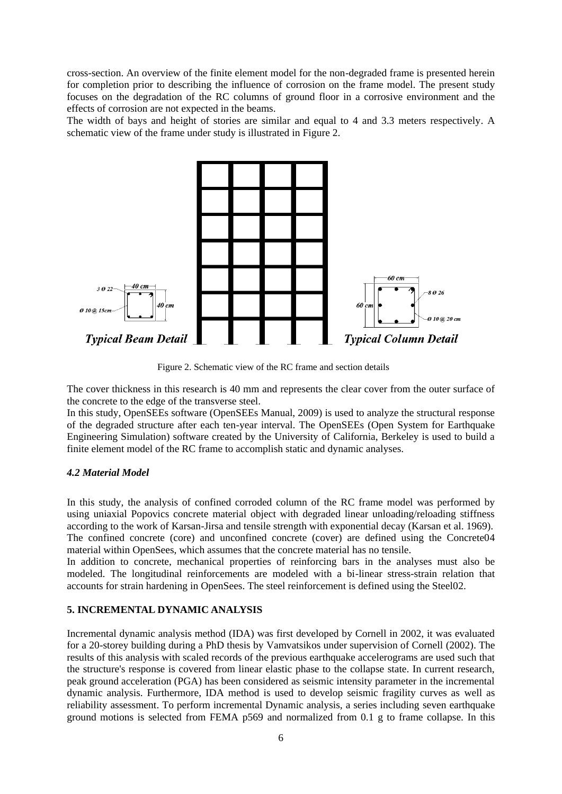cross-section. An overview of the finite element model for the non-degraded frame is presented herein for completion prior to describing the influence of corrosion on the frame model. The present study focuses on the degradation of the RC columns of ground floor in a corrosive environment and the effects of corrosion are not expected in the beams.

The width of bays and height of stories are similar and equal to 4 and 3.3 meters respectively. A schematic view of the frame under study is illustrated in Figure 2.



Figure 2. Schematic view of the RC frame and section details

The cover thickness in this research is 40 mm and represents the clear cover from the outer surface of the concrete to the edge of the transverse steel.

In this study, OpenSEEs software (OpenSEEs Manual, 2009) is used to analyze the structural response of the degraded structure after each ten-year interval. The OpenSEEs (Open System for Earthquake Engineering Simulation) software created by the University of California, Berkeley is used to build a finite element model of the RC frame to accomplish static and dynamic analyses.

# *4.2 Material Model*

In this study, the analysis of confined corroded column of the RC frame model was performed by using uniaxial Popovics concrete material object with degraded linear unloading/reloading stiffness according to the work of Karsan-Jirsa and tensile strength with exponential decay (Karsan et al. 1969). The confined concrete (core) and unconfined concrete (cover) are defined using the Concrete04 material within OpenSees, which assumes that the concrete material has no tensile.

In addition to concrete, mechanical properties of reinforcing bars in the analyses must also be modeled. The longitudinal reinforcements are modeled with a bi-linear stress-strain relation that accounts for strain hardening in OpenSees. The steel reinforcement is defined using the Steel02.

# **5. INCREMENTAL DYNAMIC ANALYSIS**

Incremental dynamic analysis method (IDA) was first developed by Cornell in 2002, it was evaluated for a 20-storey building during a PhD thesis by Vamvatsikos under supervision of Cornell (2002). The results of this analysis with scaled records of the previous earthquake accelerograms are used such that the structure's response is covered from linear elastic phase to the collapse state. In current research, peak ground acceleration (PGA) has been considered as seismic intensity parameter in the incremental dynamic analysis. Furthermore, IDA method is used to develop seismic fragility curves as well as reliability assessment. To perform incremental Dynamic analysis, a series including seven earthquake ground motions is selected from FEMA p569 and normalized from 0.1 g to frame collapse. In this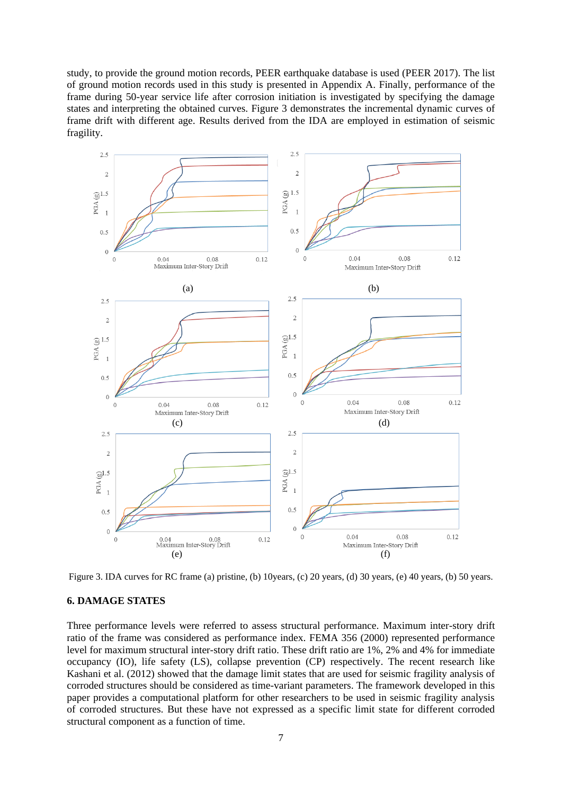study, to provide the ground motion records, PEER earthquake database is used (PEER 2017). The list of ground motion records used in this study is presented in Appendix A. Finally, performance of the frame during 50-year service life after corrosion initiation is investigated by specifying the damage states and interpreting the obtained curves. Figure 3 demonstrates the incremental dynamic curves of frame drift with different age. Results derived from the IDA are employed in estimation of seismic fragility.



Figure 3. IDA curves for RC frame (a) pristine, (b) 10years, (c) 20 years, (d) 30 years, (e) 40 years, (b) 50 years.

## **6. DAMAGE STATES**

Three performance levels were referred to assess structural performance. Maximum inter-story drift ratio of the frame was considered as performance index. FEMA 356 (2000) represented performance level for maximum structural inter-story drift ratio. These drift ratio are 1%, 2% and 4% for immediate occupancy (IO), life safety (LS), collapse prevention (CP) respectively. The recent research like Kashani et al. (2012) showed that the damage limit states that are used for seismic fragility analysis of corroded structures should be considered as time-variant parameters. The framework developed in this paper provides a computational platform for other researchers to be used in seismic fragility analysis of corroded structures. But these have not expressed as a specific limit state for different corroded structural component as a function of time.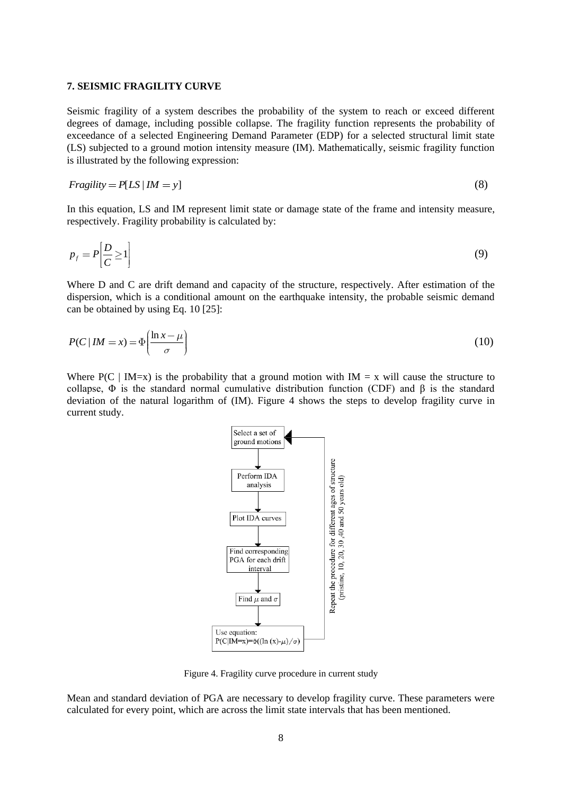#### **7. SEISMIC FRAGILITY CURVE**

Seismic fragility of a system describes the probability of the system to reach or exceed different degrees of damage, including possible collapse. The fragility function represents the probability of exceedance of a selected Engineering Demand Parameter (EDP) for a selected structural limit state (LS) subjected to a ground motion intensity measure (IM). Mathematically, seismic fragility function is illustrated by the following expression:

$$
Fragility = P[LS \mid IM = y]
$$
\n(8)

In this equation, LS and IM represent limit state or damage state of the frame and intensity measure, respectively. Fragility probability is calculated by:

$$
p_f = P\left[\frac{D}{C} \ge 1\right] \tag{9}
$$

Where D and C are drift demand and capacity of the structure, respectively. After estimation of the dispersion, which is a conditional amount on the earthquake intensity, the probable seismic demand can be obtained by using Eq. 10 [25]:

$$
P(C \mid IM = x) = \Phi\left(\frac{\ln x - \mu}{\sigma}\right) \tag{10}
$$

Where  $P(C | IM=x)$  is the probability that a ground motion with  $IM = x$  will cause the structure to collapse,  $\Phi$  is the standard normal cumulative distribution function (CDF) and  $\beta$  is the standard deviation of the natural logarithm of (IM). Figure 4 shows the steps to develop fragility curve in current study.



Figure 4. Fragility curve procedure in current study

Mean and standard deviation of PGA are necessary to develop fragility curve. These parameters were calculated for every point, which are across the limit state intervals that has been mentioned.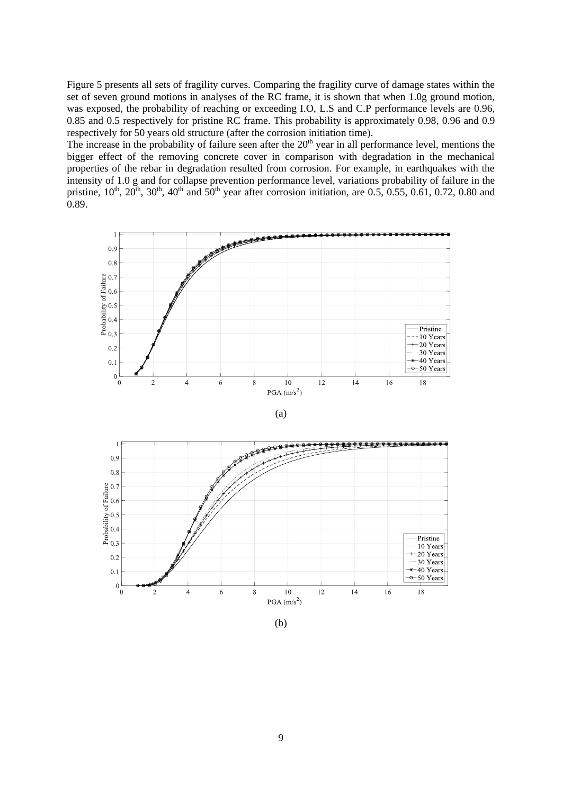Figure 5 presents all sets of fragility curves. Comparing the fragility curve of damage states within the set of seven ground motions in analyses of the RC frame, it is shown that when 1.0g ground motion, was exposed, the probability of reaching or exceeding I.O, L.S and C.P performance levels are 0.96, 0.85 and 0.5 respectively for pristine RC frame. This probability is approximately 0.98, 0.96 and 0.9 respectively for 50 years old structure (after the corrosion initiation time).

The increase in the probability of failure seen after the  $20<sup>th</sup>$  year in all performance level, mentions the bigger effect of the removing concrete cover in comparison with degradation in the mechanical properties of the rebar in degradation resulted from corrosion. For example, in earthquakes with the intensity of 1.0 g and for collapse prevention performance level, variations probability of failure in the pristine,  $10^{th}$ ,  $20^{th}$ ,  $30^{th}$ ,  $40^{th}$  and  $50^{th}$  year after corrosion initiation, are 0.5, 0.55, 0.61, 0.72, 0.80 and 0.89.







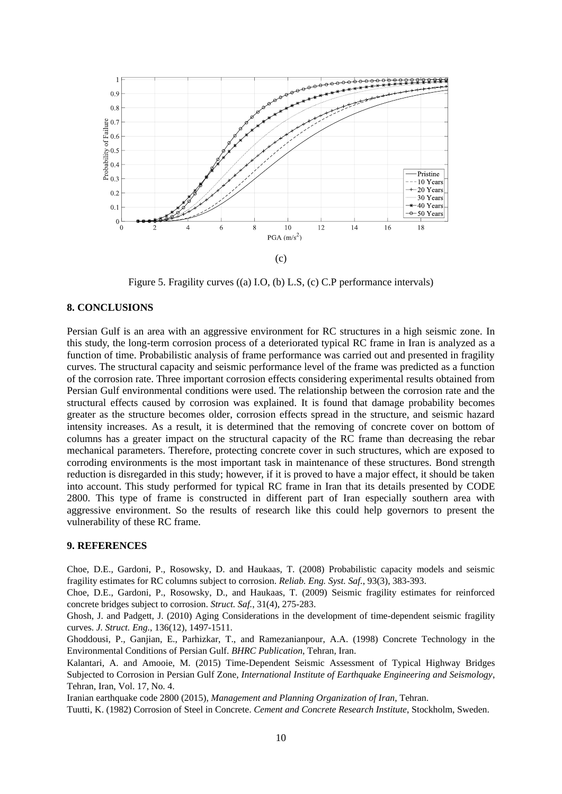

Figure 5. Fragility curves ((a) I.O, (b) L.S, (c) C.P performance intervals)

## **8. CONCLUSIONS**

Persian Gulf is an area with an aggressive environment for RC structures in a high seismic zone. In this study, the long-term corrosion process of a deteriorated typical RC frame in Iran is analyzed as a function of time. Probabilistic analysis of frame performance was carried out and presented in fragility curves. The structural capacity and seismic performance level of the frame was predicted as a function of the corrosion rate. Three important corrosion effects considering experimental results obtained from Persian Gulf environmental conditions were used. The relationship between the corrosion rate and the structural effects caused by corrosion was explained. It is found that damage probability becomes greater as the structure becomes older, corrosion effects spread in the structure, and seismic hazard intensity increases. As a result, it is determined that the removing of concrete cover on bottom of columns has a greater impact on the structural capacity of the RC frame than decreasing the rebar mechanical parameters. Therefore, protecting concrete cover in such structures, which are exposed to corroding environments is the most important task in maintenance of these structures. Bond strength reduction is disregarded in this study; however, if it is proved to have a major effect, it should be taken into account. This study performed for typical RC frame in Iran that its details presented by CODE 2800. This type of frame is constructed in different part of Iran especially southern area with aggressive environment. So the results of research like this could help governors to present the vulnerability of these RC frame.

## **9. REFERENCES**

Choe, D.E., Gardoni, P., Rosowsky, D. and Haukaas, T. (2008) Probabilistic capacity models and seismic fragility estimates for RC columns subject to corrosion. *Reliab. Eng. Syst. Saf.*, 93(3), 383-393.

Choe, D.E., Gardoni, P., Rosowsky, D., and Haukaas, T. (2009) Seismic fragility estimates for reinforced concrete bridges subject to corrosion. *Struct. Saf.*, 31(4), 275-283.

Ghosh, J. and Padgett, J. (2010) Aging Considerations in the development of time-dependent seismic fragility curves. *J. Struct. Eng.*, 136(12), 1497-1511.

Ghoddousi, P., Ganjian, E., Parhizkar, T., and Ramezanianpour, A.A. (1998) Concrete Technology in the Environmental Conditions of Persian Gulf. *BHRC Publication*, Tehran, Iran.

Kalantari, A. and Amooie, M. (2015) Time-Dependent Seismic Assessment of Typical Highway Bridges Subjected to Corrosion in Persian Gulf Zone, *International Institute of Earthquake Engineering and Seismology*, Tehran, Iran, Vol. 17, No. 4.

Iranian earthquake code 2800 (2015), *Management and Planning Organization of Iran*, Tehran.

Tuutti, K. (1982) Corrosion of Steel in Concrete. *Cement and Concrete Research Institute*, Stockholm, Sweden.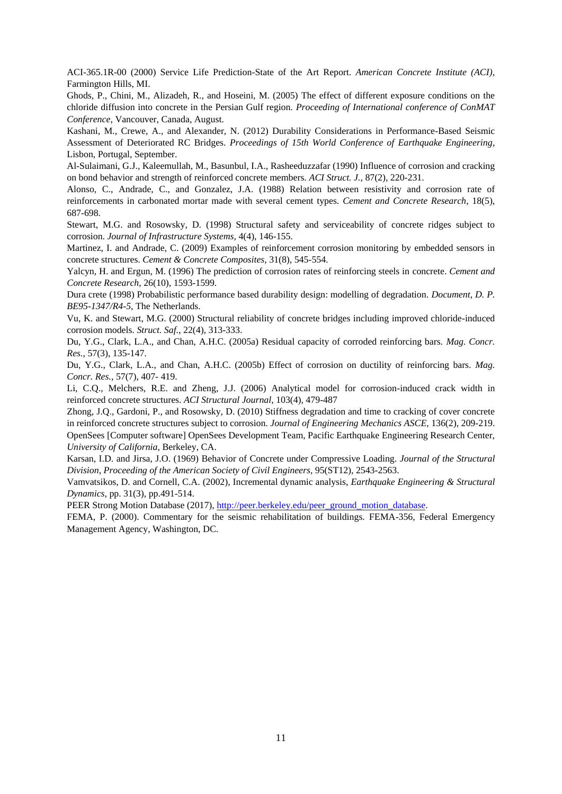ACI-365.1R-00 (2000) Service Life Prediction-State of the Art Report. *American Concrete Institute (ACI)*, Farmington Hills, MI.

Ghods, P., Chini, M., Alizadeh, R., and Hoseini, M. (2005) The effect of different exposure conditions on the chloride diffusion into concrete in the Persian Gulf region. *Proceeding of International conference of ConMAT Conference*, Vancouver, Canada, August.

Kashani, M., Crewe, A., and Alexander, N. (2012) Durability Considerations in Performance-Based Seismic Assessment of Deteriorated RC Bridges. *Proceedings of 15th World Conference of Earthquake Engineering*, Lisbon, Portugal, September.

Al-Sulaimani, G.J., Kaleemullah, M., Basunbul, I.A., Rasheeduzzafar (1990) Influence of corrosion and cracking on bond behavior and strength of reinforced concrete members. *ACI Struct. J.*, 87(2), 220-231.

Alonso, C., Andrade, C., and Gonzalez, J.A. (1988) Relation between resistivity and corrosion rate of reinforcements in carbonated mortar made with several cement types. *Cement and Concrete Research*, 18(5), 687-698.

Stewart, M.G. and Rosowsky, D. (1998) Structural safety and serviceability of concrete ridges subject to corrosion. *Journal of Infrastructure Systems,* 4(4), 146-155.

Martinez, I. and Andrade, C. (2009) Examples of reinforcement corrosion monitoring by embedded sensors in concrete structures. *Cement & Concrete Composites*, 31(8), 545-554.

Yalcyn, H. and Ergun, M. (1996) The prediction of corrosion rates of reinforcing steels in concrete. *Cement and Concrete Research*, 26(10), 1593-1599.

Dura crete (1998) Probabilistic performance based durability design: modelling of degradation. *Document, D. P. BE95-1347/R4-5*, The Netherlands.

Vu, K. and Stewart, M.G. (2000) Structural reliability of concrete bridges including improved chloride-induced corrosion models. *Struct. Saf.*, 22(4), 313-333.

Du, Y.G., Clark, L.A., and Chan, A.H.C. (2005a) Residual capacity of corroded reinforcing bars. *Mag. Concr. Res.*, 57(3), 135-147.

Du, Y.G., Clark, L.A., and Chan, A.H.C. (2005b) Effect of corrosion on ductility of reinforcing bars. *Mag. Concr. Res.*, 57(7), 407- 419.

Li, C.Q., Melchers, R.E. and Zheng, J.J. (2006) Analytical model for corrosion-induced crack width in reinforced concrete structures. *ACI Structural Journal*, 103(4), 479-487

Zhong, J.Q., Gardoni, P., and Rosowsky, D. (2010) Stiffness degradation and time to cracking of cover concrete in reinforced concrete structures subject to corrosion. *Journal of Engineering Mechanics ASCE*, 136(2), 209-219. OpenSees [Computer software] OpenSees Development Team, Pacific Earthquake Engineering Research Center, *University of California*, Berkeley, CA.

Karsan, I.D. and Jirsa, J.O. (1969) Behavior of Concrete under Compressive Loading. *Journal of the Structural Division, Proceeding of the American Society of Civil Engineers*, 95(ST12), 2543-2563.

Vamvatsikos, D. and Cornell, C.A. (2002), Incremental dynamic analysis, *Earthquake Engineering & Structural Dynamics*, pp. 31(3), pp.491-514.

PEER Strong Motion Database (2017), [http://peer.berkeley.edu/peer\\_ground\\_motion\\_database.](http://peer.berkeley.edu/peer_ground_motion_database)

FEMA, P. (2000). Commentary for the seismic rehabilitation of buildings. FEMA-356, Federal Emergency Management Agency, Washington, DC.